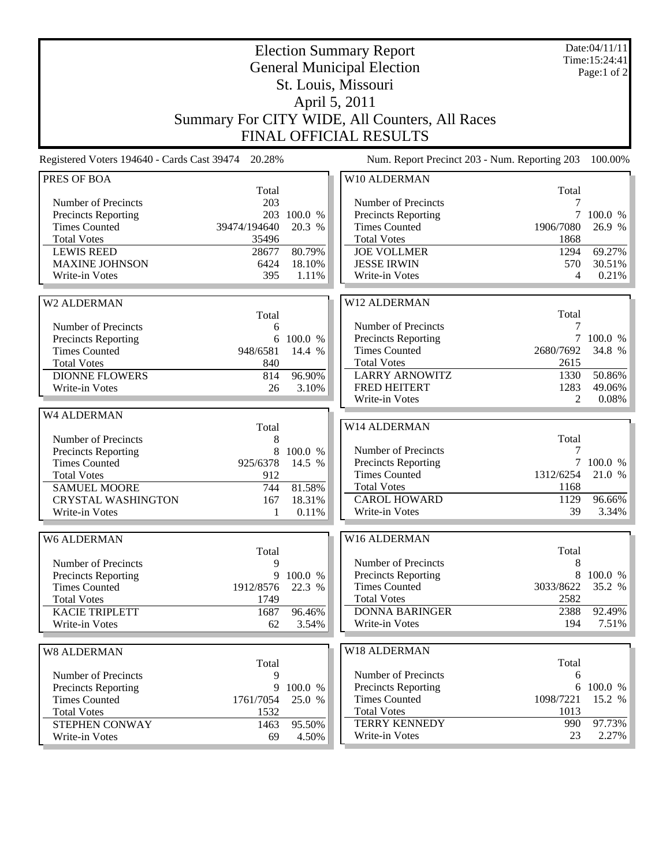|                                                                                                                                                                       | Date:04/11/11<br>Time: 15:24:41<br>Page:1 of 2        |                                                |                                                                                                                                                            |                                                           |                                       |  |  |  |  |
|-----------------------------------------------------------------------------------------------------------------------------------------------------------------------|-------------------------------------------------------|------------------------------------------------|------------------------------------------------------------------------------------------------------------------------------------------------------------|-----------------------------------------------------------|---------------------------------------|--|--|--|--|
| Summary For CITY WIDE, All Counters, All Races<br><b>FINAL OFFICIAL RESULTS</b>                                                                                       |                                                       |                                                |                                                                                                                                                            |                                                           |                                       |  |  |  |  |
| Registered Voters 194640 - Cards Cast 39474 20.28%                                                                                                                    |                                                       |                                                | Num. Report Precinct 203 - Num. Reporting 203                                                                                                              |                                                           | 100.00%                               |  |  |  |  |
| PRES OF BOA<br>Number of Precincts<br><b>Precincts Reporting</b><br><b>Times Counted</b><br><b>Total Votes</b><br><b>LEWIS REED</b>                                   | Total<br>203<br>203<br>39474/194640<br>35496<br>28677 | 100.0 %<br>20.3 %<br>80.79%                    | W10 ALDERMAN<br>Number of Precincts<br>Precincts Reporting<br><b>Times Counted</b><br><b>Total Votes</b><br><b>JOE VOLLMER</b>                             | Total<br>7<br>7<br>1906/7080<br>1868<br>1294              | 100.0 %<br>26.9 %<br>69.27%           |  |  |  |  |
| <b>MAXINE JOHNSON</b><br>Write-in Votes                                                                                                                               | 6424<br>395                                           | 18.10%<br>1.11%                                | <b>JESSE IRWIN</b><br>Write-in Votes                                                                                                                       | 570<br>4                                                  | 30.51%<br>0.21%                       |  |  |  |  |
| W2 ALDERMAN<br>Number of Precincts<br><b>Precincts Reporting</b><br><b>Times Counted</b><br><b>Total Votes</b><br><b>DIONNE FLOWERS</b><br>Write-in Votes             | Total<br>6<br>6<br>948/6581<br>840<br>814<br>26       | 100.0 %<br>14.4 %<br>96.90%<br>3.10%           | W12 ALDERMAN<br>Number of Precincts<br>Precincts Reporting<br><b>Times Counted</b><br><b>Total Votes</b><br><b>LARRY ARNOWITZ</b><br>FRED HEITERT          | Total<br>7<br>$\tau$<br>2680/7692<br>2615<br>1330<br>1283 | 100.0 %<br>34.8 %<br>50.86%<br>49.06% |  |  |  |  |
| W4 ALDERMAN                                                                                                                                                           |                                                       |                                                | Write-in Votes                                                                                                                                             | 2                                                         | 0.08%                                 |  |  |  |  |
| Number of Precincts<br><b>Precincts Reporting</b><br><b>Times Counted</b><br><b>Total Votes</b><br><b>SAMUEL MOORE</b><br><b>CRYSTAL WASHINGTON</b><br>Write-in Votes | Total<br>8<br>8<br>925/6378<br>912<br>744<br>167<br>1 | 100.0 %<br>14.5 %<br>81.58%<br>18.31%<br>0.11% | W14 ALDERMAN<br>Number of Precincts<br>Precincts Reporting<br><b>Times Counted</b><br><b>Total Votes</b><br><b>CAROL HOWARD</b><br>Write-in Votes          | Total<br>7<br>$\tau$<br>1312/6254<br>1168<br>1129<br>39   | 100.0 %<br>21.0 %<br>96.66%<br>3.34%  |  |  |  |  |
| W6 ALDERMAN<br>Number of Precincts<br><b>Precincts Reporting</b><br><b>Times Counted</b><br><b>Total Votes</b><br><b>KACIE TRIPLETT</b><br>Write-in Votes             | Total<br>9<br>9<br>1912/8576<br>1749<br>1687<br>62    | 100.0 %<br>22.3 %<br>96.46%<br>3.54%           | W16 ALDERMAN<br>Number of Precincts<br><b>Precincts Reporting</b><br><b>Times Counted</b><br><b>Total Votes</b><br><b>DONNA BARINGER</b><br>Write-in Votes | Total<br>8<br>8<br>3033/8622<br>2582<br>2388<br>194       | 100.0 %<br>35.2 %<br>92.49%<br>7.51%  |  |  |  |  |
| <b>W8 ALDERMAN</b><br>Number of Precincts<br><b>Precincts Reporting</b><br><b>Times Counted</b><br><b>Total Votes</b>                                                 | Total<br>9<br>9<br>1761/7054<br>1532                  | 100.0 %<br>25.0 %                              | W18 ALDERMAN<br>Number of Precincts<br>Precincts Reporting<br><b>Times Counted</b><br><b>Total Votes</b>                                                   | Total<br>6<br>6<br>1098/7221<br>1013                      | 100.0 %<br>15.2 %                     |  |  |  |  |
| STEPHEN CONWAY<br>Write-in Votes                                                                                                                                      | 1463<br>69                                            | 95.50%<br>4.50%                                | <b>TERRY KENNEDY</b><br>Write-in Votes                                                                                                                     | 990<br>23                                                 | 97.73%<br>$2.27\%$                    |  |  |  |  |